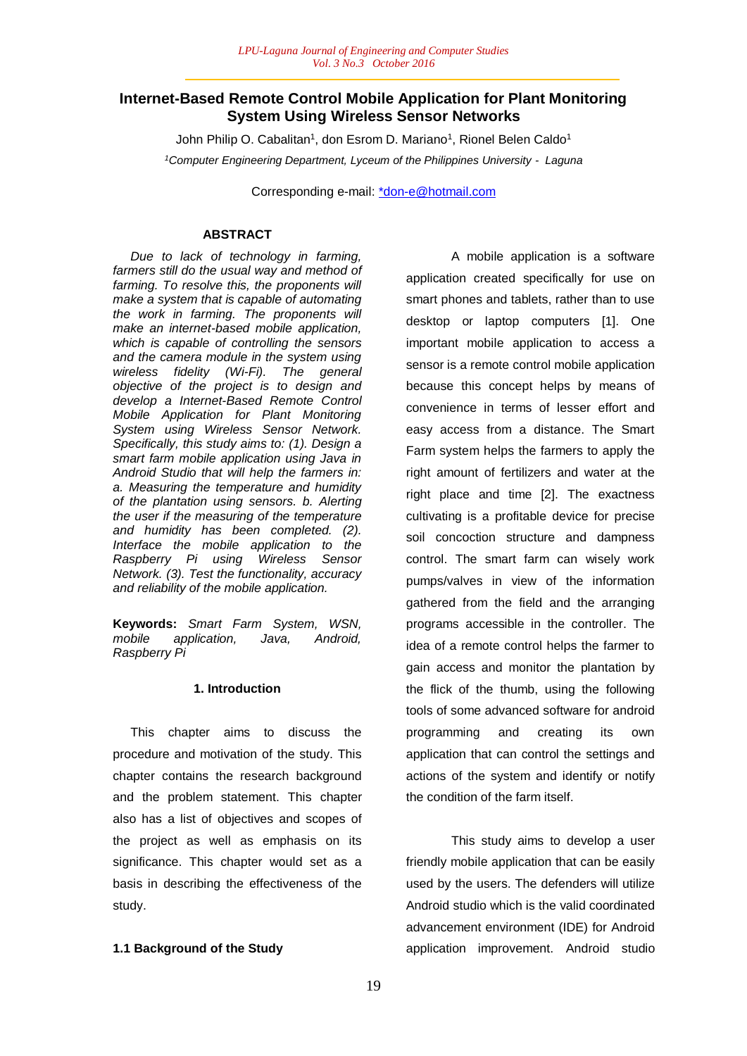# **Internet-Based Remote Control Mobile Application for Plant Monitoring System Using Wireless Sensor Networks**

John Philip O. Cabalitan<sup>1</sup>, don Esrom D. Mariano<sup>1</sup>, Rionel Belen Caldo<sup>1</sup> *<sup>1</sup>Computer Engineering Department, Lyceum of the Philippines University - Laguna*

Corresponding e-mail: \*don-e@hotmail.com

# **ABSTRACT**

 *Due to lack of technology in farming, farmers still do the usual way and method of farming. To resolve this, the proponents will make a system that is capable of automating the work in farming. The proponents will make an internet-based mobile application, which is capable of controlling the sensors and the camera module in the system using wireless fidelity (Wi-Fi). The general objective of the project is to design and develop a Internet-Based Remote Control Mobile Application for Plant Monitoring System using Wireless Sensor Network. Specifically, this study aims to: (1). Design a smart farm mobile application using Java in Android Studio that will help the farmers in: a. Measuring the temperature and humidity of the plantation using sensors. b. Alerting the user if the measuring of the temperature and humidity has been completed. (2). Interface the mobile application to the Raspberry Pi using Wireless Sensor Network. (3). Test the functionality, accuracy and reliability of the mobile application.* 

**Keywords:** *Smart Farm System, WSN, mobile application, Java, Android, Raspberry Pi*

### **1. Introduction**

 This chapter aims to discuss the procedure and motivation of the study. This chapter contains the research background and the problem statement. This chapter also has a list of objectives and scopes of the project as well as emphasis on its significance. This chapter would set as a basis in describing the effectiveness of the study.

# **1.1 Background of the Study**

A mobile application is a software application created specifically for use on smart phones and tablets, rather than to use desktop or laptop computers [1]. One important mobile application to access a sensor is a remote control mobile application because this concept helps by means of convenience in terms of lesser effort and easy access from a distance. The Smart Farm system helps the farmers to apply the right amount of fertilizers and water at the right place and time [2]. The exactness cultivating is a profitable device for precise soil concoction structure and dampness control. The smart farm can wisely work pumps/valves in view of the information gathered from the field and the arranging programs accessible in the controller. The idea of a remote control helps the farmer to gain access and monitor the plantation by the flick of the thumb, using the following tools of some advanced software for android programming and creating its own application that can control the settings and actions of the system and identify or notify the condition of the farm itself.

This study aims to develop a user friendly mobile application that can be easily used by the users. The defenders will utilize Android studio which is the valid coordinated advancement environment (IDE) for Android application improvement. Android studio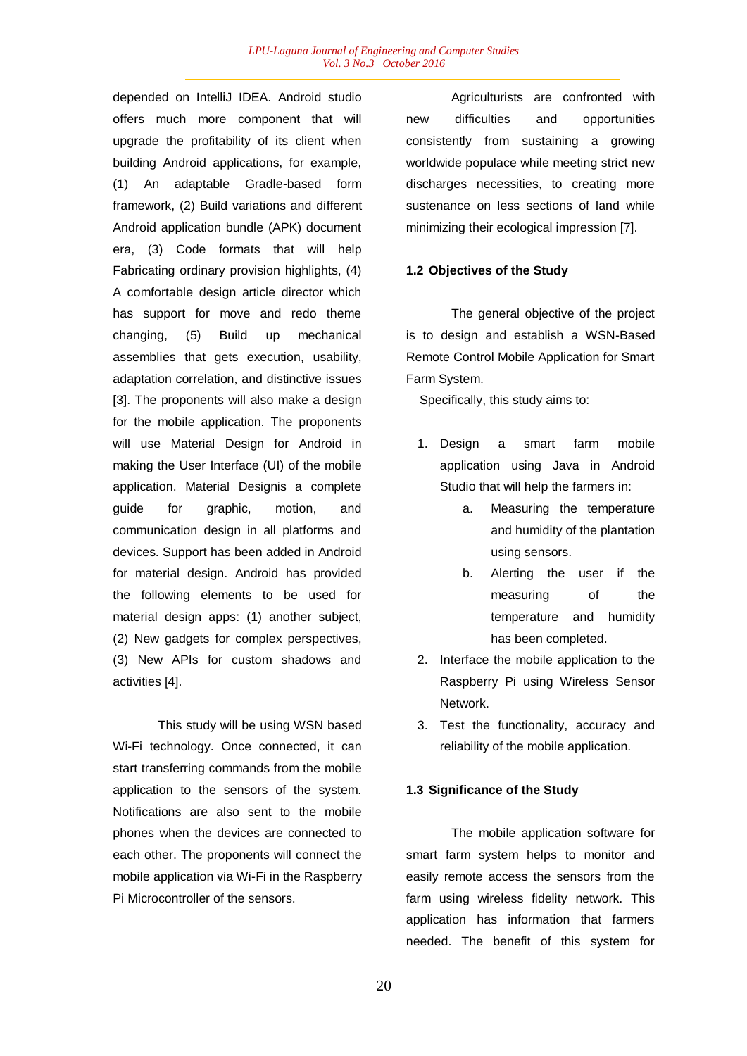depended on IntelliJ IDEA. Android studio offers much more component that will upgrade the profitability of its client when building Android applications, for example, (1) An adaptable Gradle-based form framework, (2) Build variations and different Android application bundle (APK) document era, (3) Code formats that will help Fabricating ordinary provision highlights, (4) A comfortable design article director which has support for move and redo theme changing, (5) Build up mechanical assemblies that gets execution, usability, adaptation correlation, and distinctive issues [3]. The proponents will also make a design for the mobile application. The proponents will use Material Design for Android in making the User Interface (UI) of the mobile application. Material Designis a complete guide for graphic, motion, and communication design in all platforms and devices. Support has been added in Android for material design. Android has provided the following elements to be used for material design apps: (1) another subject, (2) New gadgets for complex perspectives, (3) New APIs for custom shadows and activities [4].

This study will be using WSN based Wi-Fi technology. Once connected, it can start transferring commands from the mobile application to the sensors of the system. Notifications are also sent to the mobile phones when the devices are connected to each other. The proponents will connect the mobile application via Wi-Fi in the Raspberry Pi Microcontroller of the sensors.

Agriculturists are confronted with new difficulties and opportunities consistently from sustaining a growing worldwide populace while meeting strict new discharges necessities, to creating more sustenance on less sections of land while minimizing their ecological impression [7].

### **1.2 Objectives of the Study**

The general objective of the project is to design and establish a WSN-Based Remote Control Mobile Application for Smart Farm System.

Specifically, this study aims to:

- 1. Design a smart farm mobile application using Java in Android Studio that will help the farmers in:
	- a. Measuring the temperature and humidity of the plantation using sensors.
	- b. Alerting the user if the measuring of the temperature and humidity has been completed.
- 2. Interface the mobile application to the Raspberry Pi using Wireless Sensor Network.
- 3. Test the functionality, accuracy and reliability of the mobile application.

### **1.3 Significance of the Study**

The mobile application software for smart farm system helps to monitor and easily remote access the sensors from the farm using wireless fidelity network. This application has information that farmers needed. The benefit of this system for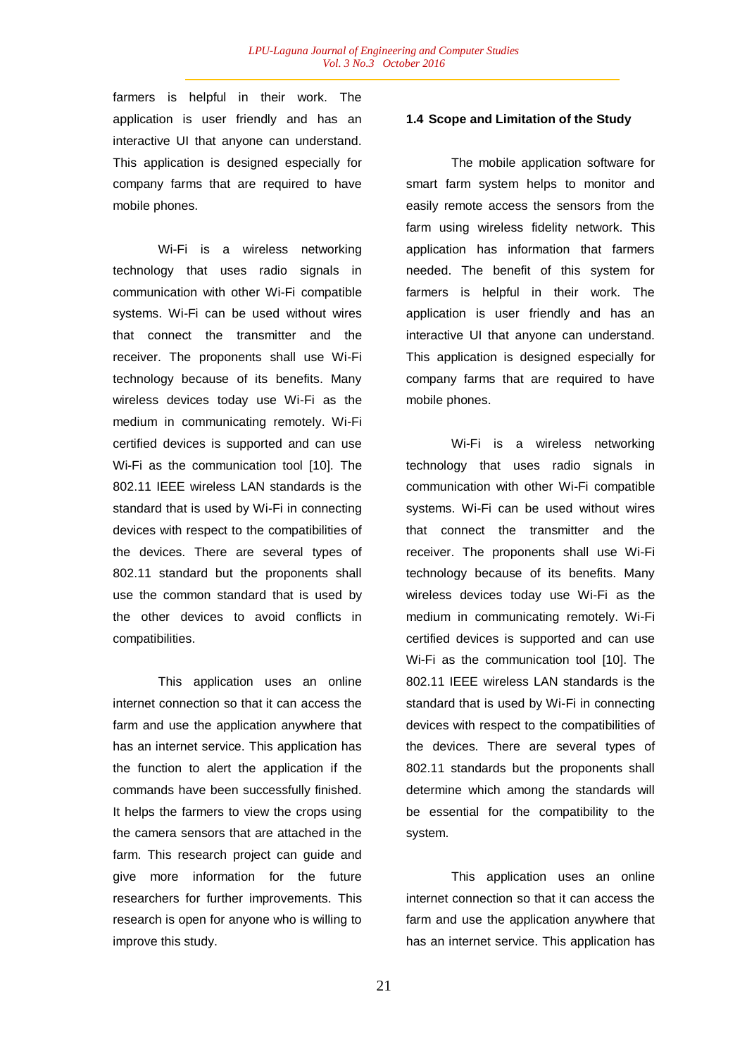farmers is helpful in their work. The application is user friendly and has an interactive UI that anyone can understand. This application is designed especially for company farms that are required to have mobile phones.

Wi-Fi is a wireless networking technology that uses radio signals in communication with other Wi-Fi compatible systems. Wi-Fi can be used without wires that connect the transmitter and the receiver. The proponents shall use Wi-Fi technology because of its benefits. Many wireless devices today use Wi-Fi as the medium in communicating remotely. Wi-Fi certified devices is supported and can use Wi-Fi as the communication tool [10]. The 802.11 IEEE wireless LAN standards is the standard that is used by Wi-Fi in connecting devices with respect to the compatibilities of the devices. There are several types of 802.11 standard but the proponents shall use the common standard that is used by the other devices to avoid conflicts in compatibilities.

This application uses an online internet connection so that it can access the farm and use the application anywhere that has an internet service. This application has the function to alert the application if the commands have been successfully finished. It helps the farmers to view the crops using the camera sensors that are attached in the farm. This research project can guide and give more information for the future researchers for further improvements. This research is open for anyone who is willing to improve this study.

### **1.4 Scope and Limitation of the Study**

The mobile application software for smart farm system helps to monitor and easily remote access the sensors from the farm using wireless fidelity network. This application has information that farmers needed. The benefit of this system for farmers is helpful in their work. The application is user friendly and has an interactive UI that anyone can understand. This application is designed especially for company farms that are required to have mobile phones.

Wi-Fi is a wireless networking technology that uses radio signals in communication with other Wi-Fi compatible systems. Wi-Fi can be used without wires that connect the transmitter and the receiver. The proponents shall use Wi-Fi technology because of its benefits. Many wireless devices today use Wi-Fi as the medium in communicating remotely. Wi-Fi certified devices is supported and can use Wi-Fi as the communication tool [10]. The 802.11 IEEE wireless LAN standards is the standard that is used by Wi-Fi in connecting devices with respect to the compatibilities of the devices. There are several types of 802.11 standards but the proponents shall determine which among the standards will be essential for the compatibility to the system.

This application uses an online internet connection so that it can access the farm and use the application anywhere that has an internet service. This application has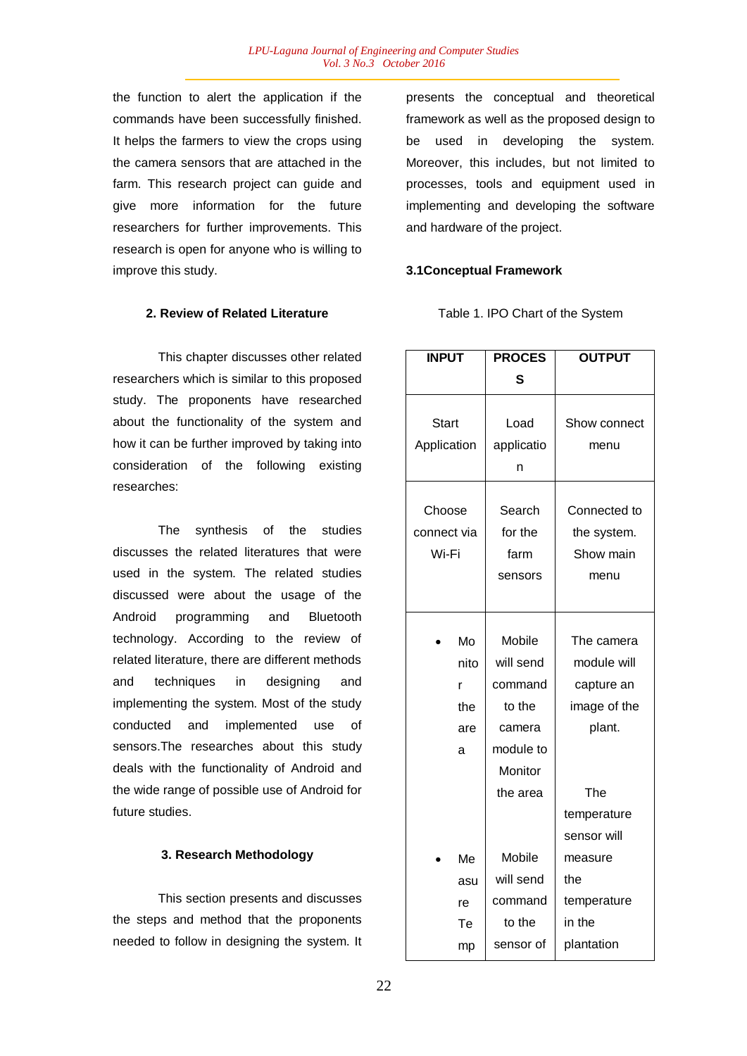the function to alert the application if the commands have been successfully finished. It helps the farmers to view the crops using the camera sensors that are attached in the farm. This research project can guide and give more information for the future researchers for further improvements. This research is open for anyone who is willing to improve this study.

#### **2. Review of Related Literature**

This chapter discusses other related researchers which is similar to this proposed study. The proponents have researched about the functionality of the system and how it can be further improved by taking into consideration of the following existing researches:

The synthesis of the studies discusses the related literatures that were used in the system. The related studies discussed were about the usage of the Android programming and Bluetooth technology. According to the review of related literature, there are different methods and techniques in designing and implementing the system. Most of the study conducted and implemented use of sensors.The researches about this study deals with the functionality of Android and the wide range of possible use of Android for future studies.

### **3. Research Methodology**

This section presents and discusses the steps and method that the proponents needed to follow in designing the system. It presents the conceptual and theoretical framework as well as the proposed design to be used in developing the system. Moreover, this includes, but not limited to processes, tools and equipment used in implementing and developing the software and hardware of the project.

### **3.1Conceptual Framework**

| Table 1. IPO Chart of the System |
|----------------------------------|
|----------------------------------|

| <b>INPUT</b> |      | <b>PROCES</b> | <b>OUTPUT</b> |
|--------------|------|---------------|---------------|
|              |      | S             |               |
|              |      |               |               |
| Start        |      | Load          | Show connect  |
| Application  |      | applicatio    | menu          |
|              |      | n             |               |
|              |      |               |               |
| Choose       |      | Search        | Connected to  |
| connect via  |      | for the       | the system.   |
| Wi-Fi        |      | farm          | Show main     |
|              |      | sensors       | menu          |
|              |      |               |               |
|              |      |               |               |
|              | Mo   | Mobile        | The camera    |
|              | nito | will send     | module will   |
|              | r    | command       | capture an    |
|              | the  | to the        | image of the  |
|              | are  | camera        | plant.        |
|              | a    | module to     |               |
|              |      | Monitor       |               |
|              |      | the area      | The           |
|              |      |               | temperature   |
|              |      |               | sensor will   |
|              | Me   | Mobile        | measure       |
|              | asu  | will send     | the           |
|              | re   | command       | temperature   |
|              | Тe   | to the        | in the        |
|              | mp   | sensor of     | plantation    |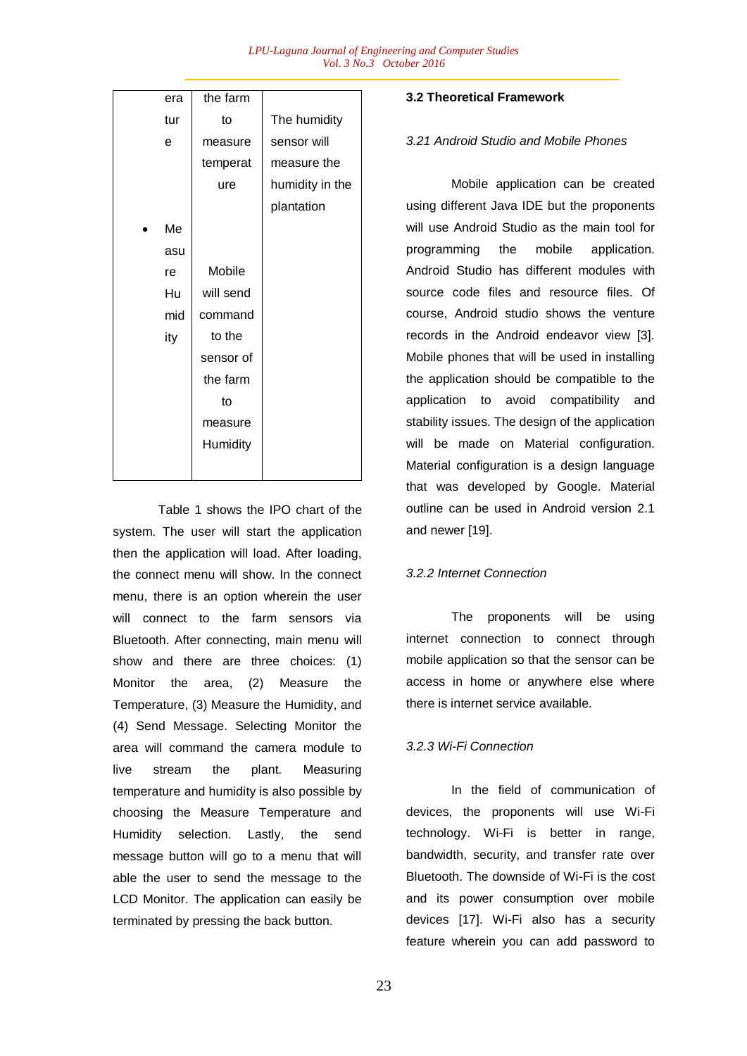| era | the farm  |                 |
|-----|-----------|-----------------|
| tur | to        | The humidity    |
| e   | measure   | sensor will     |
|     | temperat  | measure the     |
|     | ure       | humidity in the |
|     |           | plantation      |
| Me  |           |                 |
| asu |           |                 |
| re  | Mobile    |                 |
| Hu  | will send |                 |
| mid | command   |                 |
| ity | to the    |                 |
|     | sensor of |                 |
|     | the farm  |                 |
|     | to        |                 |
|     | measure   |                 |
|     | Humidity  |                 |
|     |           |                 |

Table 1 shows the IPO chart of the system. The user will start the application then the application will load. After loading, the connect menu will show. In the connect menu, there is an option wherein the user will connect to the farm sensors via Bluetooth. After connecting, main menu will show and there are three choices: (1) Monitor the area, (2) Measure the Temperature, (3) Measure the Humidity, and (4) Send Message. Selecting Monitor the area will command the camera module to live stream the plant. Measuring temperature and humidity is also possible by choosing the Measure Temperature and Humidity selection. Lastly, the send message button will go to a menu that will able the user to send the message to the LCD Monitor. The application can easily be terminated by pressing the back button.

# **3.2 Theoretical Framework**

#### *3.21 Android Studio and Mobile Phones*

Mobile application can be created using different Java IDE but the proponents will use Android Studio as the main tool for programming the mobile application. Android Studio has different modules with source code files and resource files. Of course, Android studio shows the venture records in the Android endeavor view [3]. Mobile phones that will be used in installing the application should be compatible to the application to avoid compatibility and stability issues. The design of the application will be made on Material configuration. Material configuration is a design language that was developed by Google. Material outline can be used in Android version 2.1 and newer [19].

### *3.2.2 Internet Connection*

The proponents will be using internet connection to connect through mobile application so that the sensor can be access in home or anywhere else where there is internet service available.

#### *3.2.3 Wi-Fi Connection*

In the field of communication of devices, the proponents will use Wi-Fi technology. Wi-Fi is better in range, bandwidth, security, and transfer rate over Bluetooth. The downside of Wi-Fi is the cost and its power consumption over mobile devices [17]. Wi-Fi also has a security feature wherein you can add password to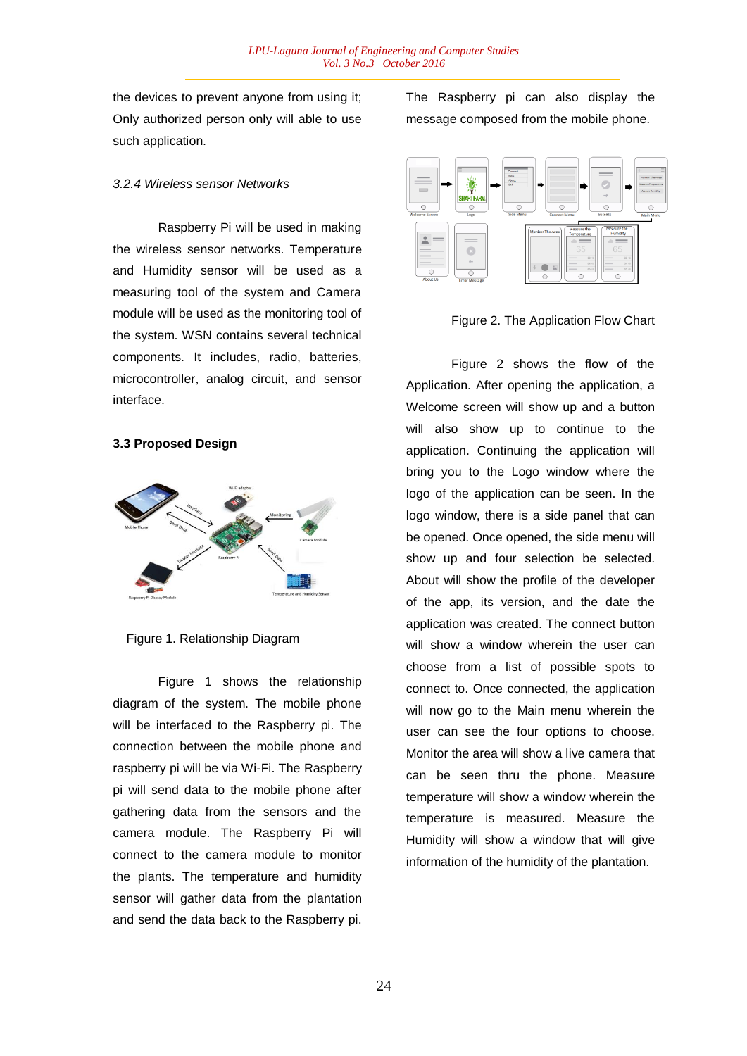the devices to prevent anyone from using it; Only authorized person only will able to use such application.

#### *3.2.4 Wireless sensor Networks*

Raspberry Pi will be used in making the wireless sensor networks. Temperature and Humidity sensor will be used as a measuring tool of the system and Camera module will be used as the monitoring tool of the system. WSN contains several technical components. It includes, radio, batteries, microcontroller, analog circuit, and sensor interface.

## **3.3 Proposed Design**



Figure 1. Relationship Diagram

Figure 1 shows the relationship diagram of the system. The mobile phone will be interfaced to the Raspberry pi. The connection between the mobile phone and raspberry pi will be via Wi-Fi. The Raspberry pi will send data to the mobile phone after gathering data from the sensors and the camera module. The Raspberry Pi will connect to the camera module to monitor the plants. The temperature and humidity sensor will gather data from the plantation and send the data back to the Raspberry pi.

The Raspberry pi can also display the message composed from the mobile phone.



Figure 2. The Application Flow Chart

Figure 2 shows the flow of the Application. After opening the application, a Welcome screen will show up and a button will also show up to continue to the application. Continuing the application will bring you to the Logo window where the logo of the application can be seen. In the logo window, there is a side panel that can be opened. Once opened, the side menu will show up and four selection be selected. About will show the profile of the developer of the app, its version, and the date the application was created. The connect button will show a window wherein the user can choose from a list of possible spots to connect to. Once connected, the application will now go to the Main menu wherein the user can see the four options to choose. Monitor the area will show a live camera that can be seen thru the phone. Measure temperature will show a window wherein the temperature is measured. Measure the Humidity will show a window that will give information of the humidity of the plantation.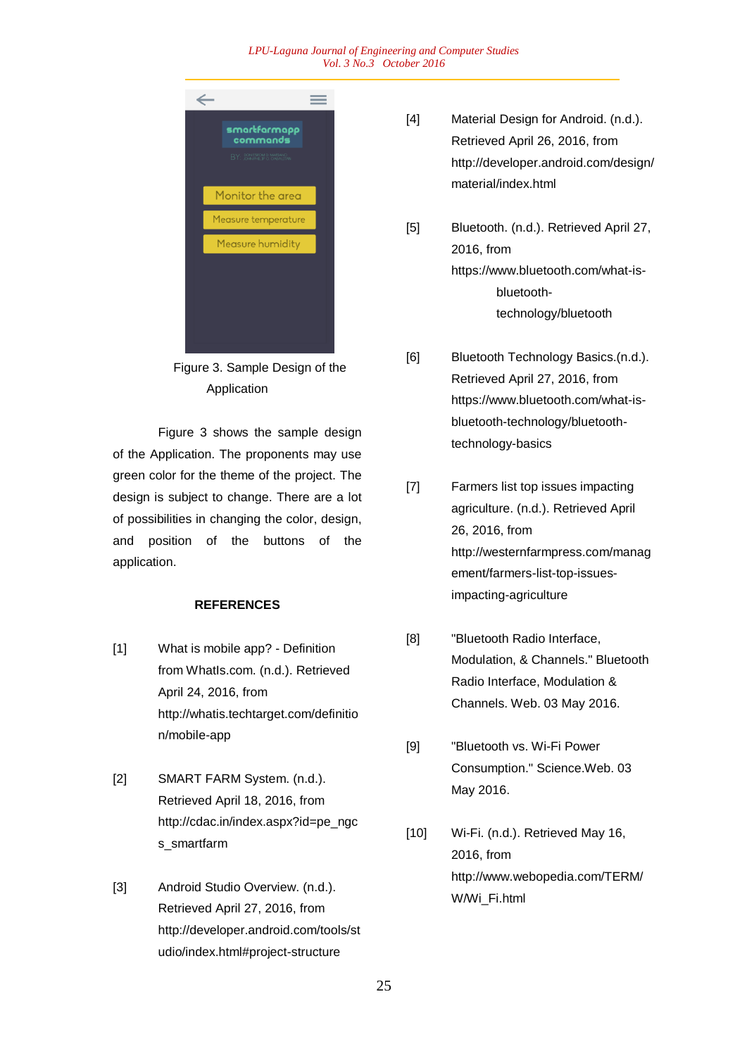#### *LPU-Laguna Journal of Engineering and Computer Studies Vol. 3 No.3 October 2016*



Figure 3. Sample Design of the Application

Figure 3 shows the sample design of the Application. The proponents may use green color for the theme of the project. The design is subject to change. There are a lot of possibilities in changing the color, design, and position of the buttons of the application.

### **REFERENCES**

- [1] What is mobile app? Definition from WhatIs.com. (n.d.). Retrieved April 24, 2016, from http://whatis.techtarget.com/definitio n/mobile-app
- [2] SMART FARM System. (n.d.). Retrieved April 18, 2016, from http://cdac.in/index.aspx?id=pe\_ngc s\_smartfarm
- [3] Android Studio Overview. (n.d.). Retrieved April 27, 2016, from http://developer.android.com/tools/st udio/index.html#project-structure
- [4] Material Design for Android. (n.d.). Retrieved April 26, 2016, from http://developer.android.com/design/ material/index.html
- [5] Bluetooth. (n.d.). Retrieved April 27, 2016, from https://www.bluetooth.com/what-isbluetoothtechnology/bluetooth
- [6] Bluetooth Technology Basics.(n.d.). Retrieved April 27, 2016, from https://www.bluetooth.com/what-isbluetooth-technology/bluetoothtechnology-basics
- [7] Farmers list top issues impacting agriculture. (n.d.). Retrieved April 26, 2016, from http://westernfarmpress.com/manag ement/farmers-list-top-issuesimpacting-agriculture
- [8] **"Bluetooth Radio Interface,** Modulation, & Channels." Bluetooth Radio Interface, Modulation & Channels. Web. 03 May 2016.
- [9] "Bluetooth vs. Wi-Fi Power Consumption." Science.Web. 03 May 2016.
- [10] Wi-Fi. (n.d.). Retrieved May 16, 2016, from http://www.webopedia.com/TERM/ W/Wi\_Fi.html